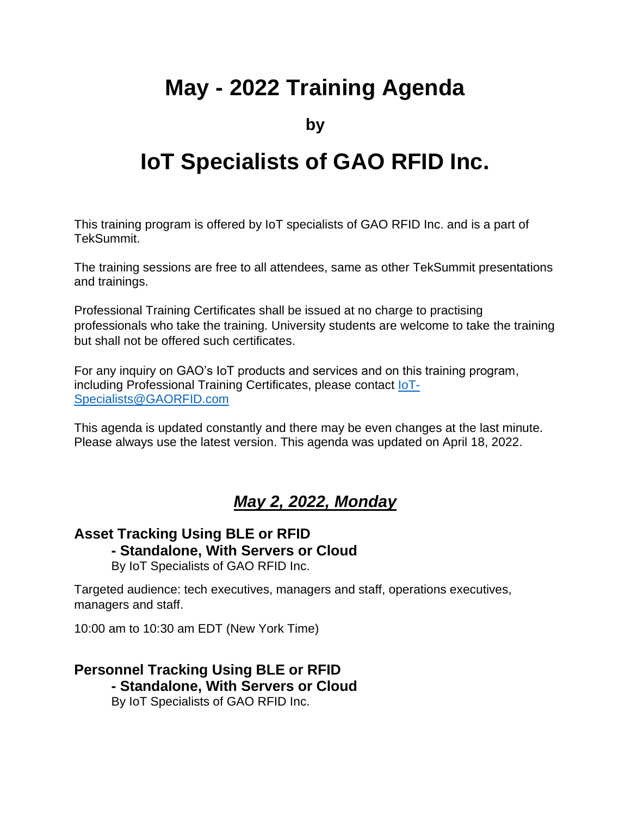# **May - 2022 Training Agenda**

**by**

# **IoT Specialists of GAO RFID Inc.**

This training program is offered by IoT specialists of GAO RFID Inc. and is a part of TekSummit.

The training sessions are free to all attendees, same as other TekSummit presentations and trainings.

Professional Training Certificates shall be issued at no charge to practising professionals who take the training. University students are welcome to take the training but shall not be offered such certificates.

For any inquiry on GAO's IoT products and services and on this training program, including Professional Training Certificates, please contact **IoT-**[Specialists@GAORFID.com](mailto:IoT-Specialists@GAORFID.com)

This agenda is updated constantly and there may be even changes at the last minute. Please always use the latest version. This agenda was updated on April 18, 2022.

# *May 2, 2022, Monday*

# **Asset Tracking Using BLE or RFID**

**- Standalone, With Servers or Cloud**

By IoT Specialists of GAO RFID Inc.

Targeted audience: tech executives, managers and staff, operations executives, managers and staff.

10:00 am to 10:30 am EDT (New York Time)

#### **Personnel Tracking Using BLE or RFID - Standalone, With Servers or Cloud** By IoT Specialists of GAO RFID Inc.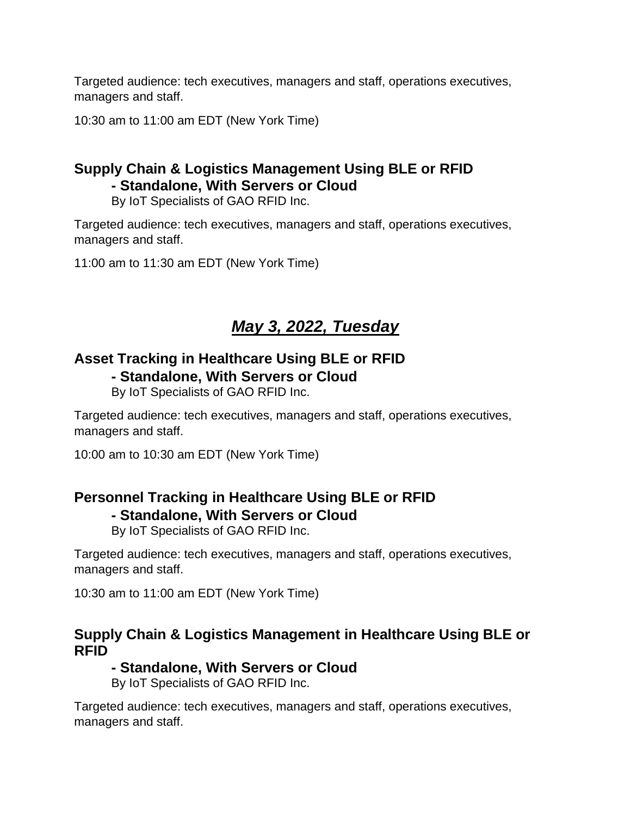Targeted audience: tech executives, managers and staff, operations executives, managers and staff.

10:30 am to 11:00 am EDT (New York Time)

# **Supply Chain & Logistics Management Using BLE or RFID - Standalone, With Servers or Cloud**

By IoT Specialists of GAO RFID Inc.

Targeted audience: tech executives, managers and staff, operations executives, managers and staff.

11:00 am to 11:30 am EDT (New York Time)

# *May 3, 2022, Tuesday*

### **Asset Tracking in Healthcare Using BLE or RFID - Standalone, With Servers or Cloud**

By IoT Specialists of GAO RFID Inc.

Targeted audience: tech executives, managers and staff, operations executives, managers and staff.

10:00 am to 10:30 am EDT (New York Time)

# **Personnel Tracking in Healthcare Using BLE or RFID - Standalone, With Servers or Cloud**

By IoT Specialists of GAO RFID Inc.

Targeted audience: tech executives, managers and staff, operations executives, managers and staff.

10:30 am to 11:00 am EDT (New York Time)

# **Supply Chain & Logistics Management in Healthcare Using BLE or RFID**

# **- Standalone, With Servers or Cloud**

By IoT Specialists of GAO RFID Inc.

Targeted audience: tech executives, managers and staff, operations executives, managers and staff.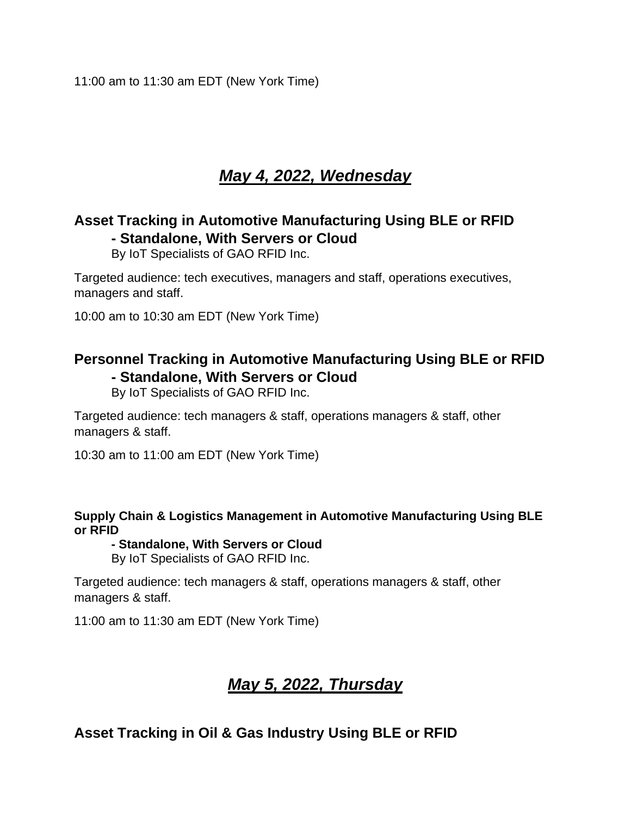11:00 am to 11:30 am EDT (New York Time)

# *May 4, 2022, Wednesday*

# **Asset Tracking in Automotive Manufacturing Using BLE or RFID - Standalone, With Servers or Cloud**

By IoT Specialists of GAO RFID Inc.

Targeted audience: tech executives, managers and staff, operations executives, managers and staff.

10:00 am to 10:30 am EDT (New York Time)

# **Personnel Tracking in Automotive Manufacturing Using BLE or RFID - Standalone, With Servers or Cloud**

By IoT Specialists of GAO RFID Inc.

Targeted audience: tech managers & staff, operations managers & staff, other managers & staff.

10:30 am to 11:00 am EDT (New York Time)

#### **Supply Chain & Logistics Management in Automotive Manufacturing Using BLE or RFID**

**- Standalone, With Servers or Cloud** By IoT Specialists of GAO RFID Inc.

Targeted audience: tech managers & staff, operations managers & staff, other managers & staff.

11:00 am to 11:30 am EDT (New York Time)

# *May 5, 2022, Thursday*

# **Asset Tracking in Oil & Gas Industry Using BLE or RFID**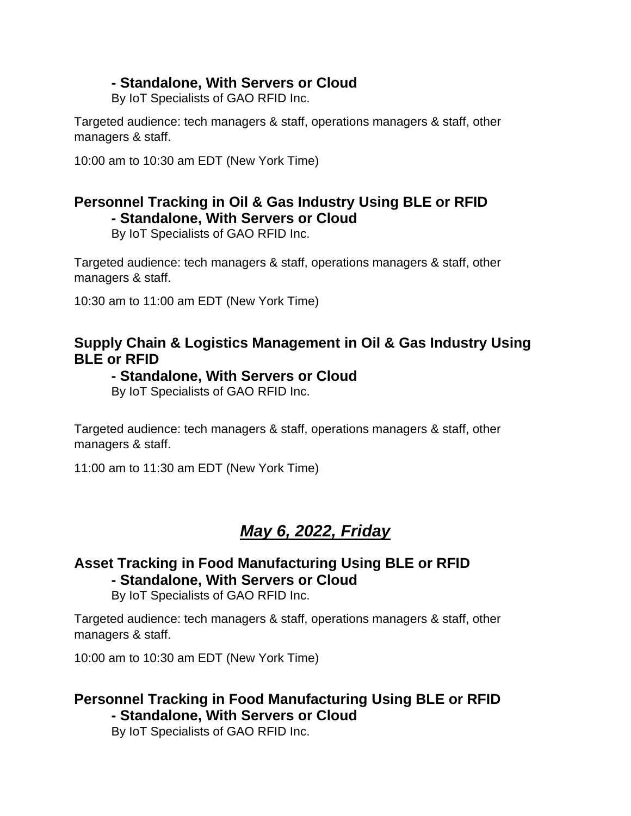#### **- Standalone, With Servers or Cloud**

By IoT Specialists of GAO RFID Inc.

Targeted audience: tech managers & staff, operations managers & staff, other managers & staff.

10:00 am to 10:30 am EDT (New York Time)

#### **Personnel Tracking in Oil & Gas Industry Using BLE or RFID - Standalone, With Servers or Cloud**

By IoT Specialists of GAO RFID Inc.

Targeted audience: tech managers & staff, operations managers & staff, other managers & staff.

10:30 am to 11:00 am EDT (New York Time)

### **Supply Chain & Logistics Management in Oil & Gas Industry Using BLE or RFID**

#### **- Standalone, With Servers or Cloud**

By IoT Specialists of GAO RFID Inc.

Targeted audience: tech managers & staff, operations managers & staff, other managers & staff.

11:00 am to 11:30 am EDT (New York Time)

# *May 6, 2022, Friday*

# **Asset Tracking in Food Manufacturing Using BLE or RFID - Standalone, With Servers or Cloud**

By IoT Specialists of GAO RFID Inc.

Targeted audience: tech managers & staff, operations managers & staff, other managers & staff.

10:00 am to 10:30 am EDT (New York Time)

# **Personnel Tracking in Food Manufacturing Using BLE or RFID - Standalone, With Servers or Cloud**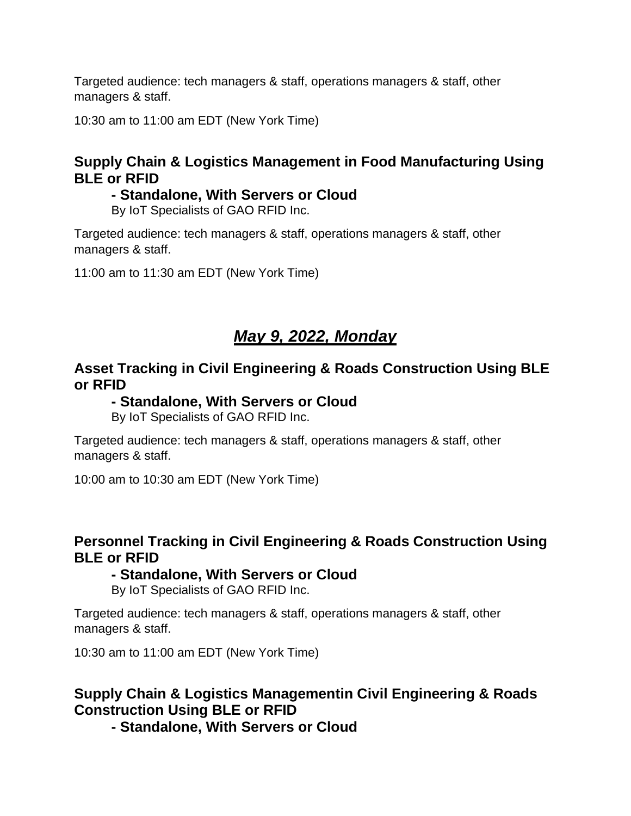10:30 am to 11:00 am EDT (New York Time)

### **Supply Chain & Logistics Management in Food Manufacturing Using BLE or RFID**

#### **- Standalone, With Servers or Cloud**

By IoT Specialists of GAO RFID Inc.

Targeted audience: tech managers & staff, operations managers & staff, other managers & staff.

11:00 am to 11:30 am EDT (New York Time)

# *May 9, 2022, Monday*

# **Asset Tracking in Civil Engineering & Roads Construction Using BLE or RFID**

#### **- Standalone, With Servers or Cloud**

By IoT Specialists of GAO RFID Inc.

Targeted audience: tech managers & staff, operations managers & staff, other managers & staff.

10:00 am to 10:30 am EDT (New York Time)

#### **Personnel Tracking in Civil Engineering & Roads Construction Using BLE or RFID**

# **- Standalone, With Servers or Cloud**

By IoT Specialists of GAO RFID Inc.

Targeted audience: tech managers & staff, operations managers & staff, other managers & staff.

10:30 am to 11:00 am EDT (New York Time)

# **Supply Chain & Logistics Managementin Civil Engineering & Roads Construction Using BLE or RFID**

**- Standalone, With Servers or Cloud**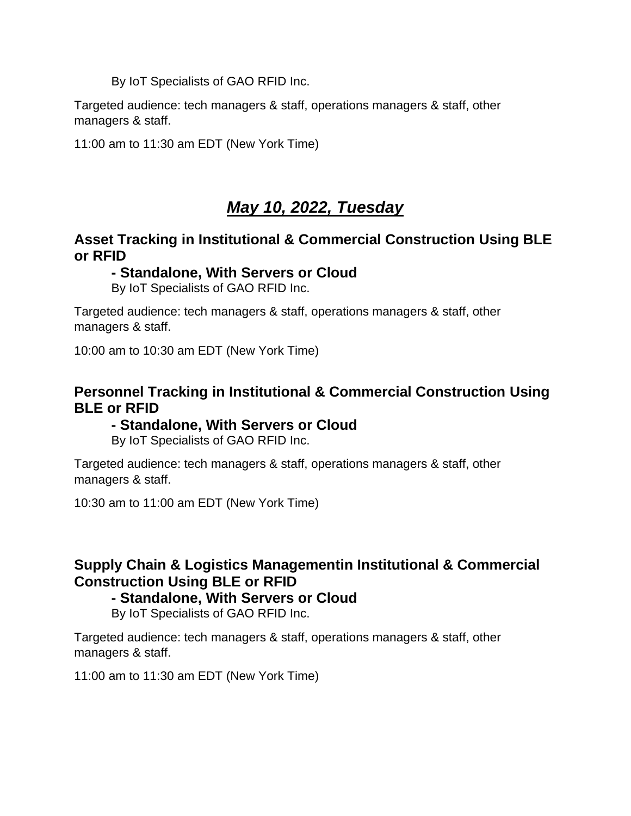By IoT Specialists of GAO RFID Inc.

Targeted audience: tech managers & staff, operations managers & staff, other managers & staff.

11:00 am to 11:30 am EDT (New York Time)

# *May 10, 2022, Tuesday*

# **Asset Tracking in Institutional & Commercial Construction Using BLE or RFID**

#### **- Standalone, With Servers or Cloud**

By IoT Specialists of GAO RFID Inc.

Targeted audience: tech managers & staff, operations managers & staff, other managers & staff.

10:00 am to 10:30 am EDT (New York Time)

### **Personnel Tracking in Institutional & Commercial Construction Using BLE or RFID**

#### **- Standalone, With Servers or Cloud**

By IoT Specialists of GAO RFID Inc.

Targeted audience: tech managers & staff, operations managers & staff, other managers & staff.

10:30 am to 11:00 am EDT (New York Time)

# **Supply Chain & Logistics Managementin Institutional & Commercial Construction Using BLE or RFID**

#### **- Standalone, With Servers or Cloud**

By IoT Specialists of GAO RFID Inc.

Targeted audience: tech managers & staff, operations managers & staff, other managers & staff.

11:00 am to 11:30 am EDT (New York Time)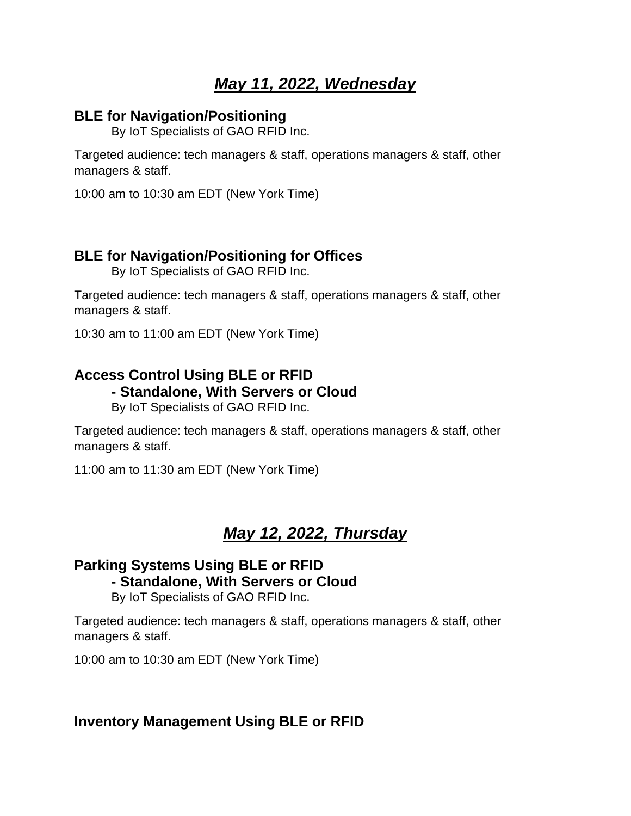# *May 11, 2022, Wednesday*

#### **BLE for Navigation/Positioning**

By IoT Specialists of GAO RFID Inc.

Targeted audience: tech managers & staff, operations managers & staff, other managers & staff.

10:00 am to 10:30 am EDT (New York Time)

# **BLE for Navigation/Positioning for Offices**

By IoT Specialists of GAO RFID Inc.

Targeted audience: tech managers & staff, operations managers & staff, other managers & staff.

10:30 am to 11:00 am EDT (New York Time)

# **Access Control Using BLE or RFID**

#### **- Standalone, With Servers or Cloud**

By IoT Specialists of GAO RFID Inc.

Targeted audience: tech managers & staff, operations managers & staff, other managers & staff.

11:00 am to 11:30 am EDT (New York Time)

# *May 12, 2022, Thursday*

# **Parking Systems Using BLE or RFID - Standalone, With Servers or Cloud**

By IoT Specialists of GAO RFID Inc.

Targeted audience: tech managers & staff, operations managers & staff, other managers & staff.

10:00 am to 10:30 am EDT (New York Time)

# **Inventory Management Using BLE or RFID**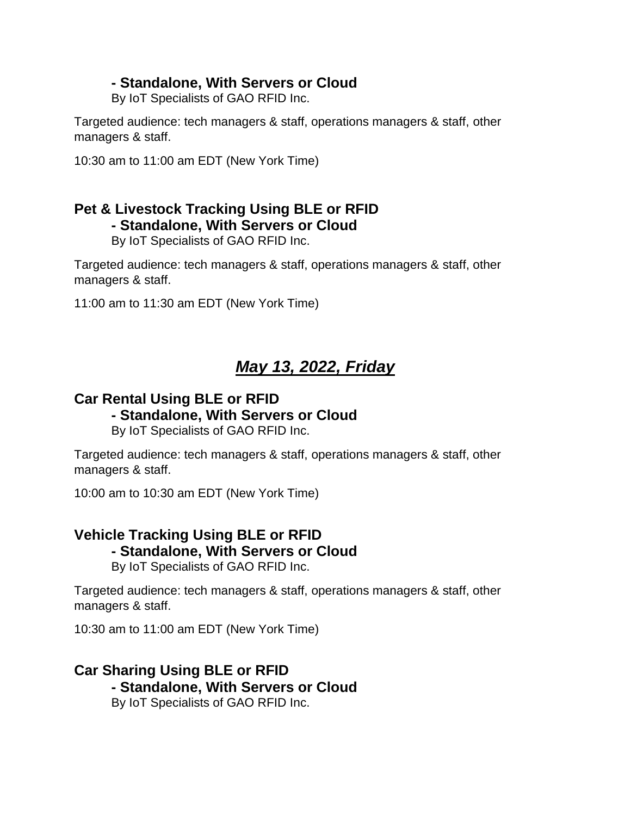#### **- Standalone, With Servers or Cloud**

By IoT Specialists of GAO RFID Inc.

Targeted audience: tech managers & staff, operations managers & staff, other managers & staff.

10:30 am to 11:00 am EDT (New York Time)

# **Pet & Livestock Tracking Using BLE or RFID - Standalone, With Servers or Cloud**

By IoT Specialists of GAO RFID Inc.

Targeted audience: tech managers & staff, operations managers & staff, other managers & staff.

11:00 am to 11:30 am EDT (New York Time)

# *May 13, 2022, Friday*

# **Car Rental Using BLE or RFID**

# **- Standalone, With Servers or Cloud**

By IoT Specialists of GAO RFID Inc.

Targeted audience: tech managers & staff, operations managers & staff, other managers & staff.

10:00 am to 10:30 am EDT (New York Time)

# **Vehicle Tracking Using BLE or RFID - Standalone, With Servers or Cloud**

By IoT Specialists of GAO RFID Inc.

Targeted audience: tech managers & staff, operations managers & staff, other managers & staff.

10:30 am to 11:00 am EDT (New York Time)

#### **Car Sharing Using BLE or RFID - Standalone, With Servers or Cloud** By IoT Specialists of GAO RFID Inc.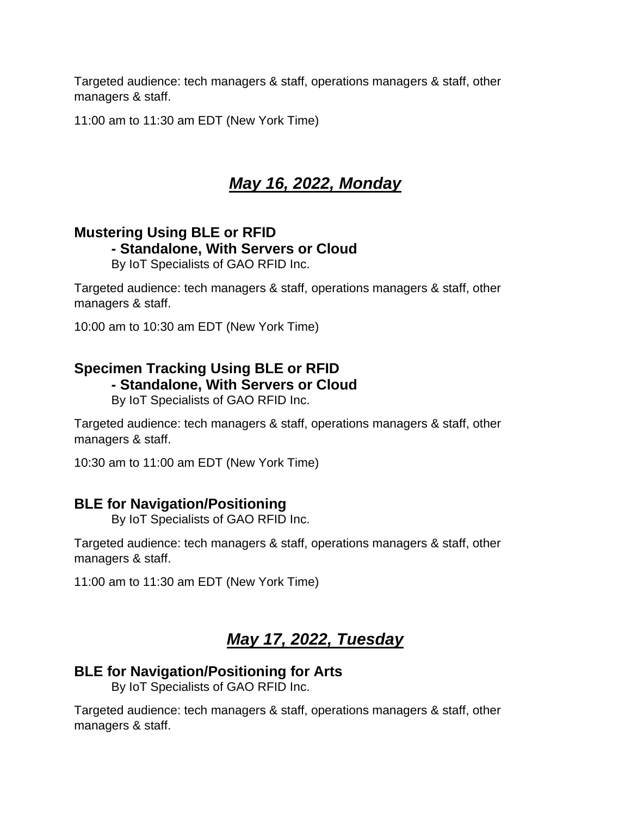11:00 am to 11:30 am EDT (New York Time)

# *May 16, 2022, Monday*

# **Mustering Using BLE or RFID - Standalone, With Servers or Cloud**

By IoT Specialists of GAO RFID Inc.

Targeted audience: tech managers & staff, operations managers & staff, other managers & staff.

10:00 am to 10:30 am EDT (New York Time)

# **Specimen Tracking Using BLE or RFID**

#### **- Standalone, With Servers or Cloud**

By IoT Specialists of GAO RFID Inc.

Targeted audience: tech managers & staff, operations managers & staff, other managers & staff.

10:30 am to 11:00 am EDT (New York Time)

# **BLE for Navigation/Positioning**

By IoT Specialists of GAO RFID Inc.

Targeted audience: tech managers & staff, operations managers & staff, other managers & staff.

11:00 am to 11:30 am EDT (New York Time)

# *May 17, 2022, Tuesday*

# **BLE for Navigation/Positioning for Arts**

By IoT Specialists of GAO RFID Inc.

Targeted audience: tech managers & staff, operations managers & staff, other managers & staff.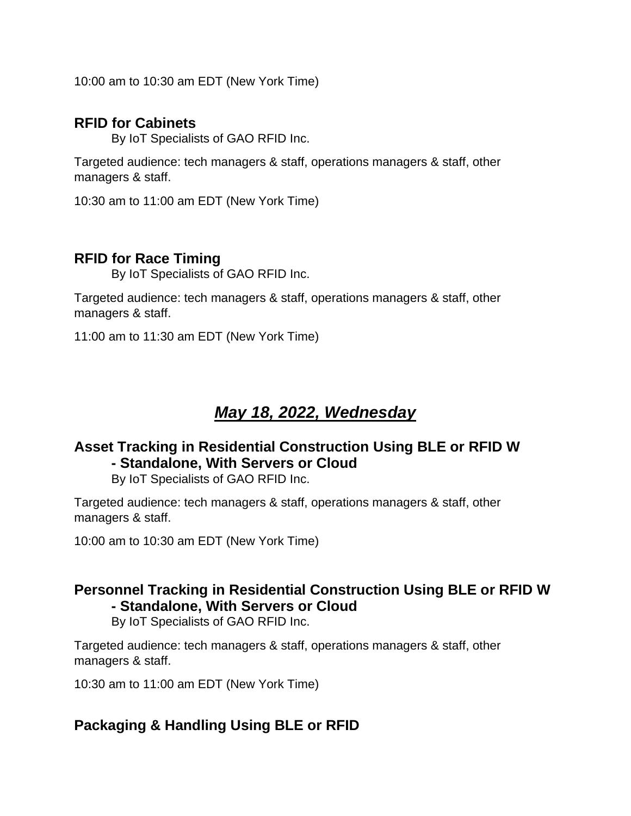10:00 am to 10:30 am EDT (New York Time)

#### **RFID for Cabinets**

By IoT Specialists of GAO RFID Inc.

Targeted audience: tech managers & staff, operations managers & staff, other managers & staff.

10:30 am to 11:00 am EDT (New York Time)

#### **RFID for Race Timing**

By IoT Specialists of GAO RFID Inc.

Targeted audience: tech managers & staff, operations managers & staff, other managers & staff.

11:00 am to 11:30 am EDT (New York Time)

# *May 18, 2022, Wednesday*

# **Asset Tracking in Residential Construction Using BLE or RFID W - Standalone, With Servers or Cloud**

By IoT Specialists of GAO RFID Inc.

Targeted audience: tech managers & staff, operations managers & staff, other managers & staff.

10:00 am to 10:30 am EDT (New York Time)

# **Personnel Tracking in Residential Construction Using BLE or RFID W - Standalone, With Servers or Cloud**

By IoT Specialists of GAO RFID Inc.

Targeted audience: tech managers & staff, operations managers & staff, other managers & staff.

10:30 am to 11:00 am EDT (New York Time)

# **Packaging & Handling Using BLE or RFID**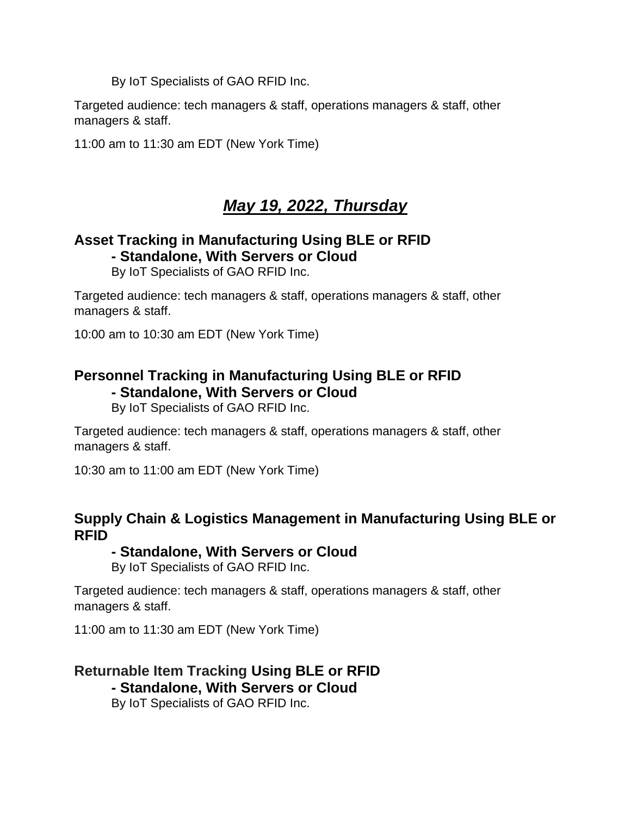By IoT Specialists of GAO RFID Inc.

Targeted audience: tech managers & staff, operations managers & staff, other managers & staff.

11:00 am to 11:30 am EDT (New York Time)

# *May 19, 2022, Thursday*

# **Asset Tracking in Manufacturing Using BLE or RFID - Standalone, With Servers or Cloud**

By IoT Specialists of GAO RFID Inc.

Targeted audience: tech managers & staff, operations managers & staff, other managers & staff.

10:00 am to 10:30 am EDT (New York Time)

# **Personnel Tracking in Manufacturing Using BLE or RFID - Standalone, With Servers or Cloud**

By IoT Specialists of GAO RFID Inc.

Targeted audience: tech managers & staff, operations managers & staff, other managers & staff.

10:30 am to 11:00 am EDT (New York Time)

#### **Supply Chain & Logistics Management in Manufacturing Using BLE or RFID**

#### **- Standalone, With Servers or Cloud**

By IoT Specialists of GAO RFID Inc.

Targeted audience: tech managers & staff, operations managers & staff, other managers & staff.

11:00 am to 11:30 am EDT (New York Time)

# **Returnable Item Tracking Using BLE or RFID - Standalone, With Servers or Cloud**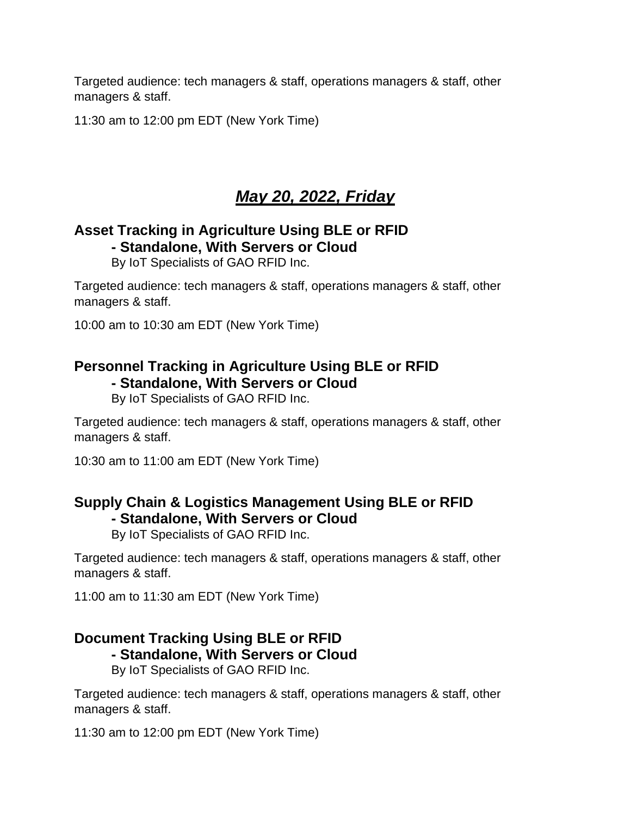11:30 am to 12:00 pm EDT (New York Time)

# *May 20, 2022, Friday*

# **Asset Tracking in Agriculture Using BLE or RFID - Standalone, With Servers or Cloud**

By IoT Specialists of GAO RFID Inc.

Targeted audience: tech managers & staff, operations managers & staff, other managers & staff.

10:00 am to 10:30 am EDT (New York Time)

# **Personnel Tracking in Agriculture Using BLE or RFID - Standalone, With Servers or Cloud**

By IoT Specialists of GAO RFID Inc.

Targeted audience: tech managers & staff, operations managers & staff, other managers & staff.

10:30 am to 11:00 am EDT (New York Time)

# **Supply Chain & Logistics Management Using BLE or RFID - Standalone, With Servers or Cloud**

By IoT Specialists of GAO RFID Inc.

Targeted audience: tech managers & staff, operations managers & staff, other managers & staff.

11:00 am to 11:30 am EDT (New York Time)

# **Document Tracking Using BLE or RFID - Standalone, With Servers or Cloud**

By IoT Specialists of GAO RFID Inc.

Targeted audience: tech managers & staff, operations managers & staff, other managers & staff.

11:30 am to 12:00 pm EDT (New York Time)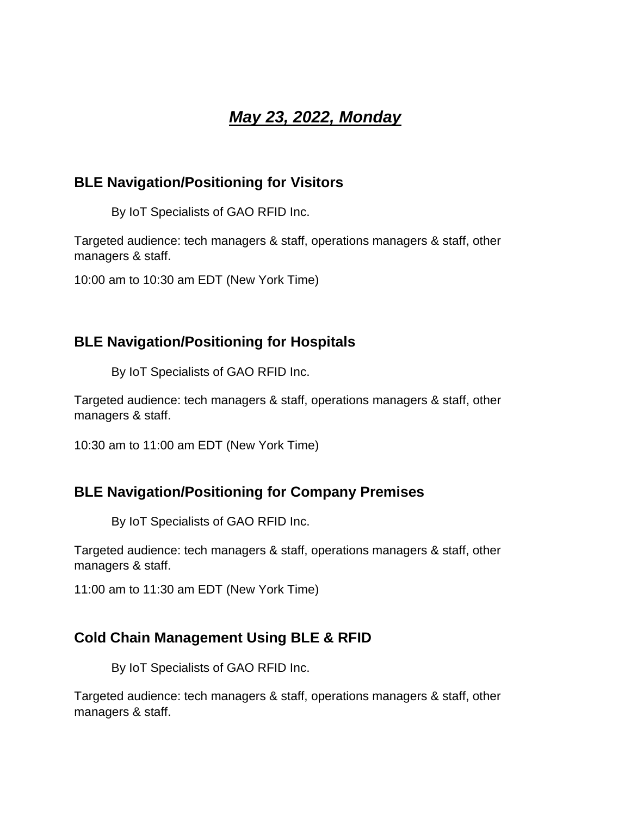# *May 23, 2022, Monday*

# **BLE Navigation/Positioning for Visitors**

By IoT Specialists of GAO RFID Inc.

Targeted audience: tech managers & staff, operations managers & staff, other managers & staff.

10:00 am to 10:30 am EDT (New York Time)

# **BLE Navigation/Positioning for Hospitals**

By IoT Specialists of GAO RFID Inc.

Targeted audience: tech managers & staff, operations managers & staff, other managers & staff.

10:30 am to 11:00 am EDT (New York Time)

# **BLE Navigation/Positioning for Company Premises**

By IoT Specialists of GAO RFID Inc.

Targeted audience: tech managers & staff, operations managers & staff, other managers & staff.

11:00 am to 11:30 am EDT (New York Time)

# **Cold Chain Management Using BLE & RFID**

By IoT Specialists of GAO RFID Inc.

Targeted audience: tech managers & staff, operations managers & staff, other managers & staff.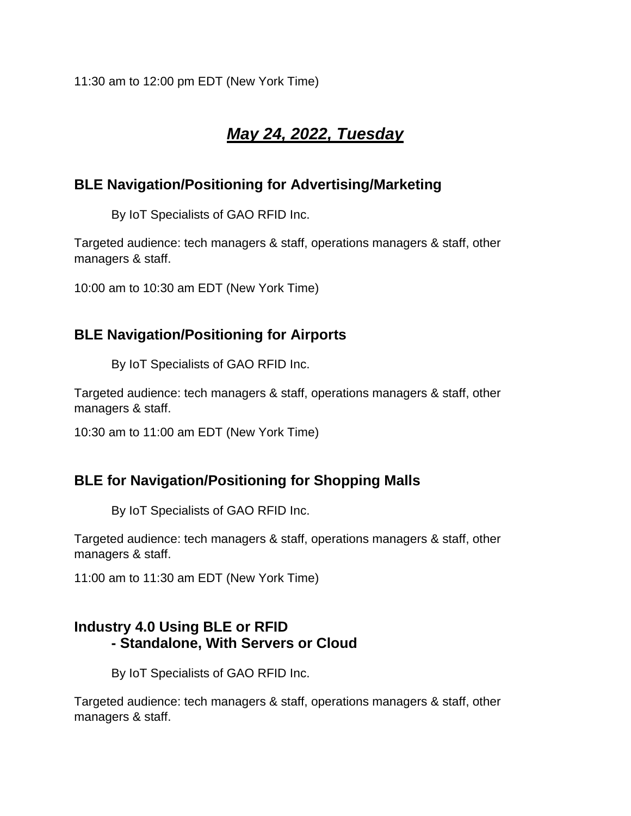11:30 am to 12:00 pm EDT (New York Time)

# *May 24, 2022, Tuesday*

# **BLE Navigation/Positioning for Advertising/Marketing**

By IoT Specialists of GAO RFID Inc.

Targeted audience: tech managers & staff, operations managers & staff, other managers & staff.

10:00 am to 10:30 am EDT (New York Time)

# **BLE Navigation/Positioning for Airports**

By IoT Specialists of GAO RFID Inc.

Targeted audience: tech managers & staff, operations managers & staff, other managers & staff.

10:30 am to 11:00 am EDT (New York Time)

# **BLE for Navigation/Positioning for Shopping Malls**

By IoT Specialists of GAO RFID Inc.

Targeted audience: tech managers & staff, operations managers & staff, other managers & staff.

11:00 am to 11:30 am EDT (New York Time)

# **Industry 4.0 Using BLE or RFID - Standalone, With Servers or Cloud**

By IoT Specialists of GAO RFID Inc.

Targeted audience: tech managers & staff, operations managers & staff, other managers & staff.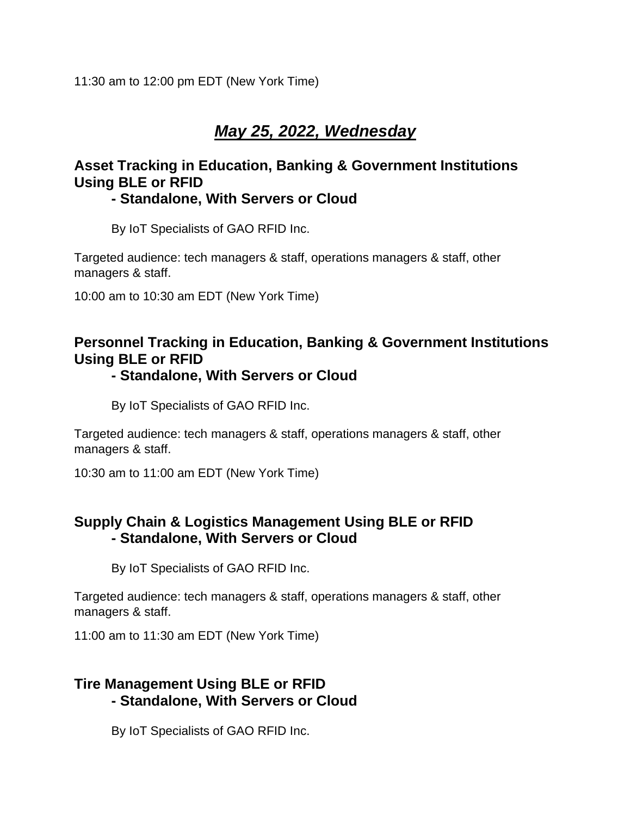11:30 am to 12:00 pm EDT (New York Time)

# *May 25, 2022, Wednesday*

# **Asset Tracking in Education, Banking & Government Institutions Using BLE or RFID**

#### **- Standalone, With Servers or Cloud**

By IoT Specialists of GAO RFID Inc.

Targeted audience: tech managers & staff, operations managers & staff, other managers & staff.

10:00 am to 10:30 am EDT (New York Time)

# **Personnel Tracking in Education, Banking & Government Institutions Using BLE or RFID**

#### **- Standalone, With Servers or Cloud**

By IoT Specialists of GAO RFID Inc.

Targeted audience: tech managers & staff, operations managers & staff, other managers & staff.

10:30 am to 11:00 am EDT (New York Time)

# **Supply Chain & Logistics Management Using BLE or RFID - Standalone, With Servers or Cloud**

By IoT Specialists of GAO RFID Inc.

Targeted audience: tech managers & staff, operations managers & staff, other managers & staff.

11:00 am to 11:30 am EDT (New York Time)

# **Tire Management Using BLE or RFID - Standalone, With Servers or Cloud**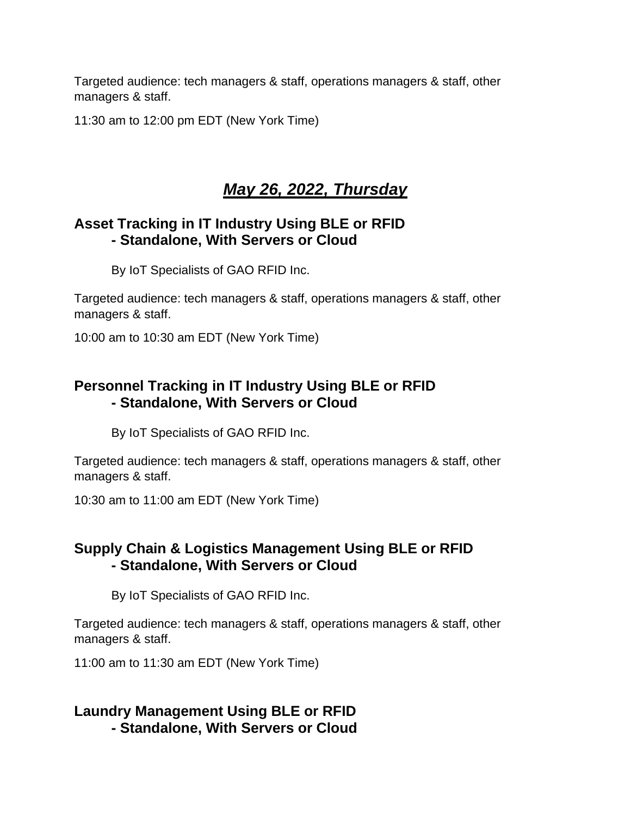11:30 am to 12:00 pm EDT (New York Time)

# *May 26, 2022, Thursday*

# **Asset Tracking in IT Industry Using BLE or RFID - Standalone, With Servers or Cloud**

By IoT Specialists of GAO RFID Inc.

Targeted audience: tech managers & staff, operations managers & staff, other managers & staff.

10:00 am to 10:30 am EDT (New York Time)

# **Personnel Tracking in IT Industry Using BLE or RFID - Standalone, With Servers or Cloud**

By IoT Specialists of GAO RFID Inc.

Targeted audience: tech managers & staff, operations managers & staff, other managers & staff.

10:30 am to 11:00 am EDT (New York Time)

# **Supply Chain & Logistics Management Using BLE or RFID - Standalone, With Servers or Cloud**

By IoT Specialists of GAO RFID Inc.

Targeted audience: tech managers & staff, operations managers & staff, other managers & staff.

11:00 am to 11:30 am EDT (New York Time)

#### **Laundry Management Using BLE or RFID - Standalone, With Servers or Cloud**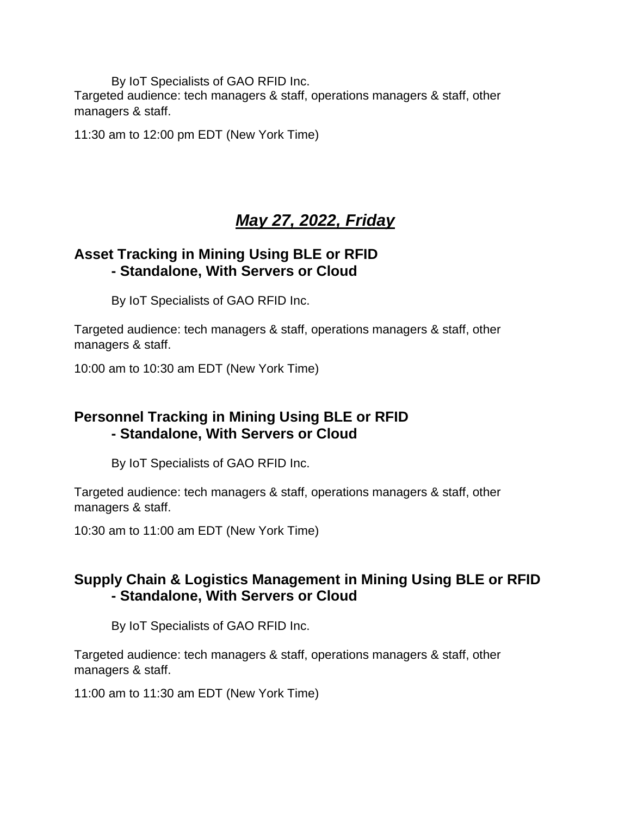By IoT Specialists of GAO RFID Inc. Targeted audience: tech managers & staff, operations managers & staff, other managers & staff.

11:30 am to 12:00 pm EDT (New York Time)

# *May 27, 2022, Friday*

### **Asset Tracking in Mining Using BLE or RFID - Standalone, With Servers or Cloud**

By IoT Specialists of GAO RFID Inc.

Targeted audience: tech managers & staff, operations managers & staff, other managers & staff.

10:00 am to 10:30 am EDT (New York Time)

# **Personnel Tracking in Mining Using BLE or RFID - Standalone, With Servers or Cloud**

By IoT Specialists of GAO RFID Inc.

Targeted audience: tech managers & staff, operations managers & staff, other managers & staff.

10:30 am to 11:00 am EDT (New York Time)

# **Supply Chain & Logistics Management in Mining Using BLE or RFID - Standalone, With Servers or Cloud**

By IoT Specialists of GAO RFID Inc.

Targeted audience: tech managers & staff, operations managers & staff, other managers & staff.

11:00 am to 11:30 am EDT (New York Time)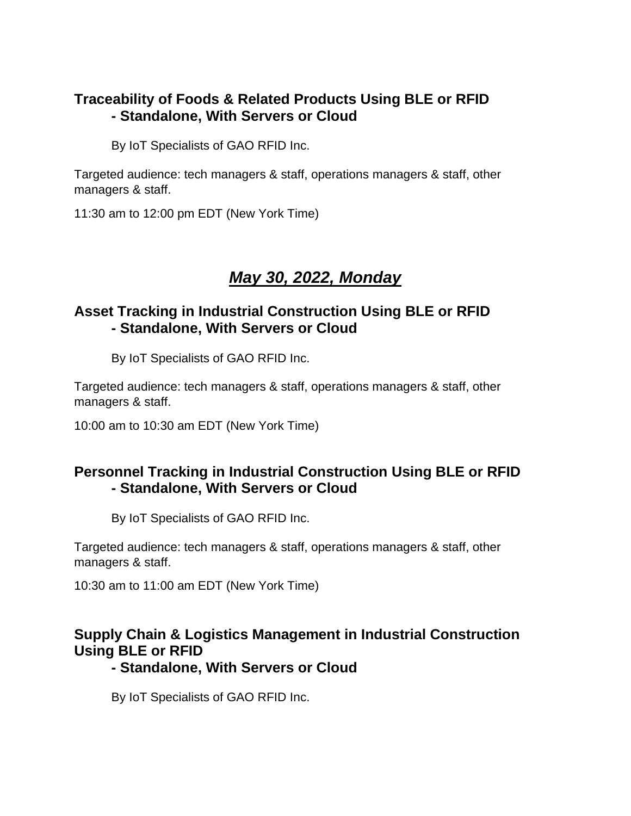# **Traceability of Foods & Related Products Using BLE or RFID - Standalone, With Servers or Cloud**

By IoT Specialists of GAO RFID Inc.

Targeted audience: tech managers & staff, operations managers & staff, other managers & staff.

11:30 am to 12:00 pm EDT (New York Time)

# *May 30, 2022, Monday*

### **Asset Tracking in Industrial Construction Using BLE or RFID - Standalone, With Servers or Cloud**

By IoT Specialists of GAO RFID Inc.

Targeted audience: tech managers & staff, operations managers & staff, other managers & staff.

10:00 am to 10:30 am EDT (New York Time)

#### **Personnel Tracking in Industrial Construction Using BLE or RFID - Standalone, With Servers or Cloud**

By IoT Specialists of GAO RFID Inc.

Targeted audience: tech managers & staff, operations managers & staff, other managers & staff.

10:30 am to 11:00 am EDT (New York Time)

# **Supply Chain & Logistics Management in Industrial Construction Using BLE or RFID**

**- Standalone, With Servers or Cloud**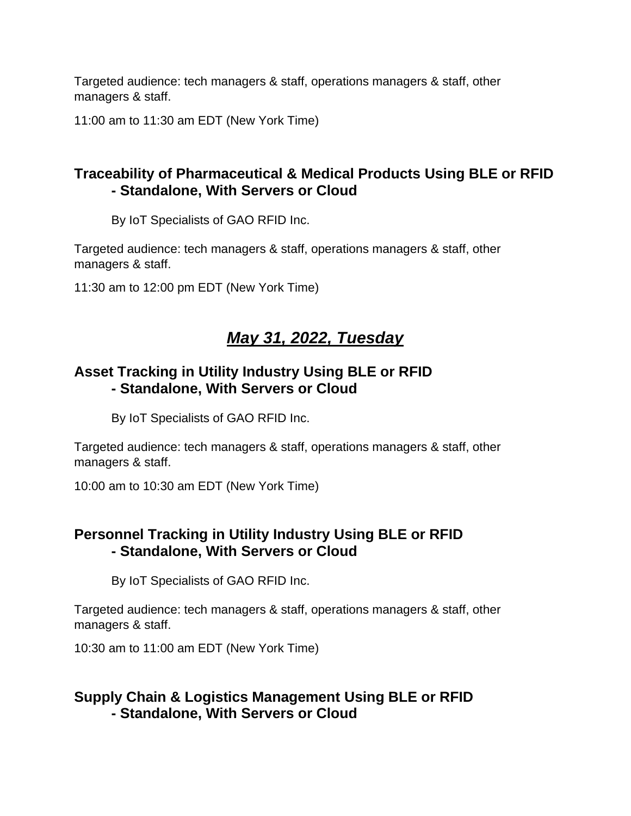11:00 am to 11:30 am EDT (New York Time)

# **Traceability of Pharmaceutical & Medical Products Using BLE or RFID - Standalone, With Servers or Cloud**

By IoT Specialists of GAO RFID Inc.

Targeted audience: tech managers & staff, operations managers & staff, other managers & staff.

11:30 am to 12:00 pm EDT (New York Time)

# *May 31, 2022, Tuesday*

### **Asset Tracking in Utility Industry Using BLE or RFID - Standalone, With Servers or Cloud**

By IoT Specialists of GAO RFID Inc.

Targeted audience: tech managers & staff, operations managers & staff, other managers & staff.

10:00 am to 10:30 am EDT (New York Time)

# **Personnel Tracking in Utility Industry Using BLE or RFID - Standalone, With Servers or Cloud**

By IoT Specialists of GAO RFID Inc.

Targeted audience: tech managers & staff, operations managers & staff, other managers & staff.

10:30 am to 11:00 am EDT (New York Time)

# **Supply Chain & Logistics Management Using BLE or RFID - Standalone, With Servers or Cloud**